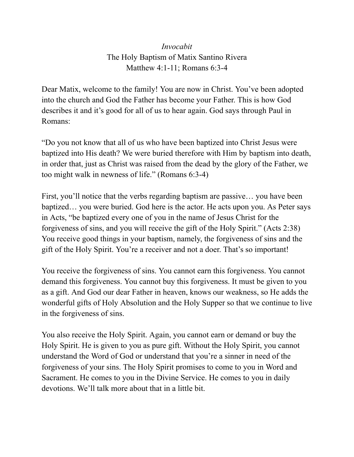## *Invocabit* The Holy Baptism of Matix Santino Rivera Matthew 4:1-11; Romans 6:3-4

Dear Matix, welcome to the family! You are now in Christ. You've been adopted into the church and God the Father has become your Father. This is how God describes it and it's good for all of us to hear again. God says through Paul in Romans:

"Do you not know that all of us who have been baptized into Christ Jesus were baptized into His death? We were buried therefore with Him by baptism into death, in order that, just as Christ was raised from the dead by the glory of the Father, we too might walk in newness of life." (Romans 6:3-4)

First, you'll notice that the verbs regarding baptism are passive… you have been baptized… you were buried. God here is the actor. He acts upon you. As Peter says in Acts, "be baptized every one of you in the name of Jesus Christ for the forgiveness of sins, and you will receive the gift of the Holy Spirit." (Acts 2:38) You receive good things in your baptism, namely, the forgiveness of sins and the gift of the Holy Spirit. You're a receiver and not a doer. That's so important!

You receive the forgiveness of sins. You cannot earn this forgiveness. You cannot demand this forgiveness. You cannot buy this forgiveness. It must be given to you as a gift. And God our dear Father in heaven, knows our weakness, so He adds the wonderful gifts of Holy Absolution and the Holy Supper so that we continue to live in the forgiveness of sins.

You also receive the Holy Spirit. Again, you cannot earn or demand or buy the Holy Spirit. He is given to you as pure gift. Without the Holy Spirit, you cannot understand the Word of God or understand that you're a sinner in need of the forgiveness of your sins. The Holy Spirit promises to come to you in Word and Sacrament. He comes to you in the Divine Service. He comes to you in daily devotions. We'll talk more about that in a little bit.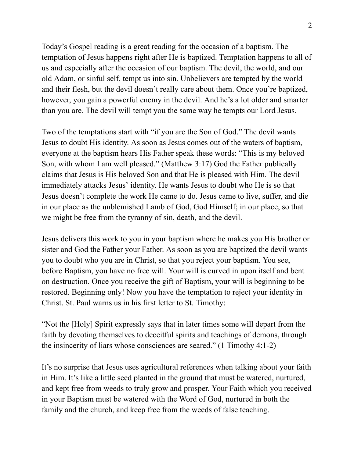Today's Gospel reading is a great reading for the occasion of a baptism. The temptation of Jesus happens right after He is baptized. Temptation happens to all of us and especially after the occasion of our baptism. The devil, the world, and our old Adam, or sinful self, tempt us into sin. Unbelievers are tempted by the world and their flesh, but the devil doesn't really care about them. Once you're baptized, however, you gain a powerful enemy in the devil. And he's a lot older and smarter than you are. The devil will tempt you the same way he tempts our Lord Jesus.

Two of the temptations start with "if you are the Son of God." The devil wants Jesus to doubt His identity. As soon as Jesus comes out of the waters of baptism, everyone at the baptism hears His Father speak these words: "This is my beloved Son, with whom I am well pleased." (Matthew 3:17) God the Father publically claims that Jesus is His beloved Son and that He is pleased with Him. The devil immediately attacks Jesus' identity. He wants Jesus to doubt who He is so that Jesus doesn't complete the work He came to do. Jesus came to live, suffer, and die in our place as the unblemished Lamb of God, God Himself; in our place, so that we might be free from the tyranny of sin, death, and the devil.

Jesus delivers this work to you in your baptism where he makes you His brother or sister and God the Father your Father. As soon as you are baptized the devil wants you to doubt who you are in Christ, so that you reject your baptism. You see, before Baptism, you have no free will. Your will is curved in upon itself and bent on destruction. Once you receive the gift of Baptism, your will is beginning to be restored. Beginning only! Now you have the temptation to reject your identity in Christ. St. Paul warns us in his first letter to St. Timothy:

"Not the [Holy] Spirit expressly says that in later times some will depart from the faith by devoting themselves to deceitful spirits and teachings of demons, through the insincerity of liars whose consciences are seared." (1 Timothy 4:1-2)

It's no surprise that Jesus uses agricultural references when talking about your faith in Him. It's like a little seed planted in the ground that must be watered, nurtured, and kept free from weeds to truly grow and prosper. Your Faith which you received in your Baptism must be watered with the Word of God, nurtured in both the family and the church, and keep free from the weeds of false teaching.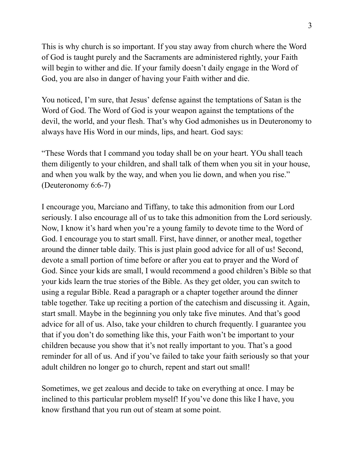This is why church is so important. If you stay away from church where the Word of God is taught purely and the Sacraments are administered rightly, your Faith will begin to wither and die. If your family doesn't daily engage in the Word of God, you are also in danger of having your Faith wither and die.

You noticed, I'm sure, that Jesus' defense against the temptations of Satan is the Word of God. The Word of God is your weapon against the temptations of the devil, the world, and your flesh. That's why God admonishes us in Deuteronomy to always have His Word in our minds, lips, and heart. God says:

"These Words that I command you today shall be on your heart. YOu shall teach them diligently to your children, and shall talk of them when you sit in your house, and when you walk by the way, and when you lie down, and when you rise." (Deuteronomy 6:6-7)

I encourage you, Marciano and Tiffany, to take this admonition from our Lord seriously. I also encourage all of us to take this admonition from the Lord seriously. Now, I know it's hard when you're a young family to devote time to the Word of God. I encourage you to start small. First, have dinner, or another meal, together around the dinner table daily. This is just plain good advice for all of us! Second, devote a small portion of time before or after you eat to prayer and the Word of God. Since your kids are small, I would recommend a good children's Bible so that your kids learn the true stories of the Bible. As they get older, you can switch to using a regular Bible. Read a paragraph or a chapter together around the dinner table together. Take up reciting a portion of the catechism and discussing it. Again, start small. Maybe in the beginning you only take five minutes. And that's good advice for all of us. Also, take your children to church frequently. I guarantee you that if you don't do something like this, your Faith won't be important to your children because you show that it's not really important to you. That's a good reminder for all of us. And if you've failed to take your faith seriously so that your adult children no longer go to church, repent and start out small!

Sometimes, we get zealous and decide to take on everything at once. I may be inclined to this particular problem myself! If you've done this like I have, you know firsthand that you run out of steam at some point.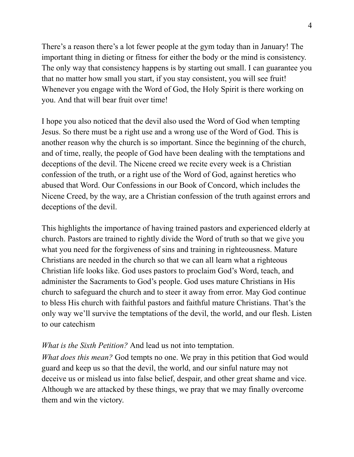There's a reason there's a lot fewer people at the gym today than in January! The important thing in dieting or fitness for either the body or the mind is consistency. The only way that consistency happens is by starting out small. I can guarantee you that no matter how small you start, if you stay consistent, you will see fruit! Whenever you engage with the Word of God, the Holy Spirit is there working on you. And that will bear fruit over time!

I hope you also noticed that the devil also used the Word of God when tempting Jesus. So there must be a right use and a wrong use of the Word of God. This is another reason why the church is so important. Since the beginning of the church, and of time, really, the people of God have been dealing with the temptations and deceptions of the devil. The Nicene creed we recite every week is a Christian confession of the truth, or a right use of the Word of God, against heretics who abused that Word. Our Confessions in our Book of Concord, which includes the Nicene Creed, by the way, are a Christian confession of the truth against errors and deceptions of the devil.

This highlights the importance of having trained pastors and experienced elderly at church. Pastors are trained to rightly divide the Word of truth so that we give you what you need for the forgiveness of sins and training in righteousness. Mature Christians are needed in the church so that we can all learn what a righteous Christian life looks like. God uses pastors to proclaim God's Word, teach, and administer the Sacraments to God's people. God uses mature Christians in His church to safeguard the church and to steer it away from error. May God continue to bless His church with faithful pastors and faithful mature Christians. That's the only way we'll survive the temptations of the devil, the world, and our flesh. Listen to our catechism

## *What is the Sixth Petition?* And lead us not into temptation.

*What does this mean?* God tempts no one. We pray in this petition that God would guard and keep us so that the devil, the world, and our sinful nature may not deceive us or mislead us into false belief, despair, and other great shame and vice. Although we are attacked by these things, we pray that we may finally overcome them and win the victory.